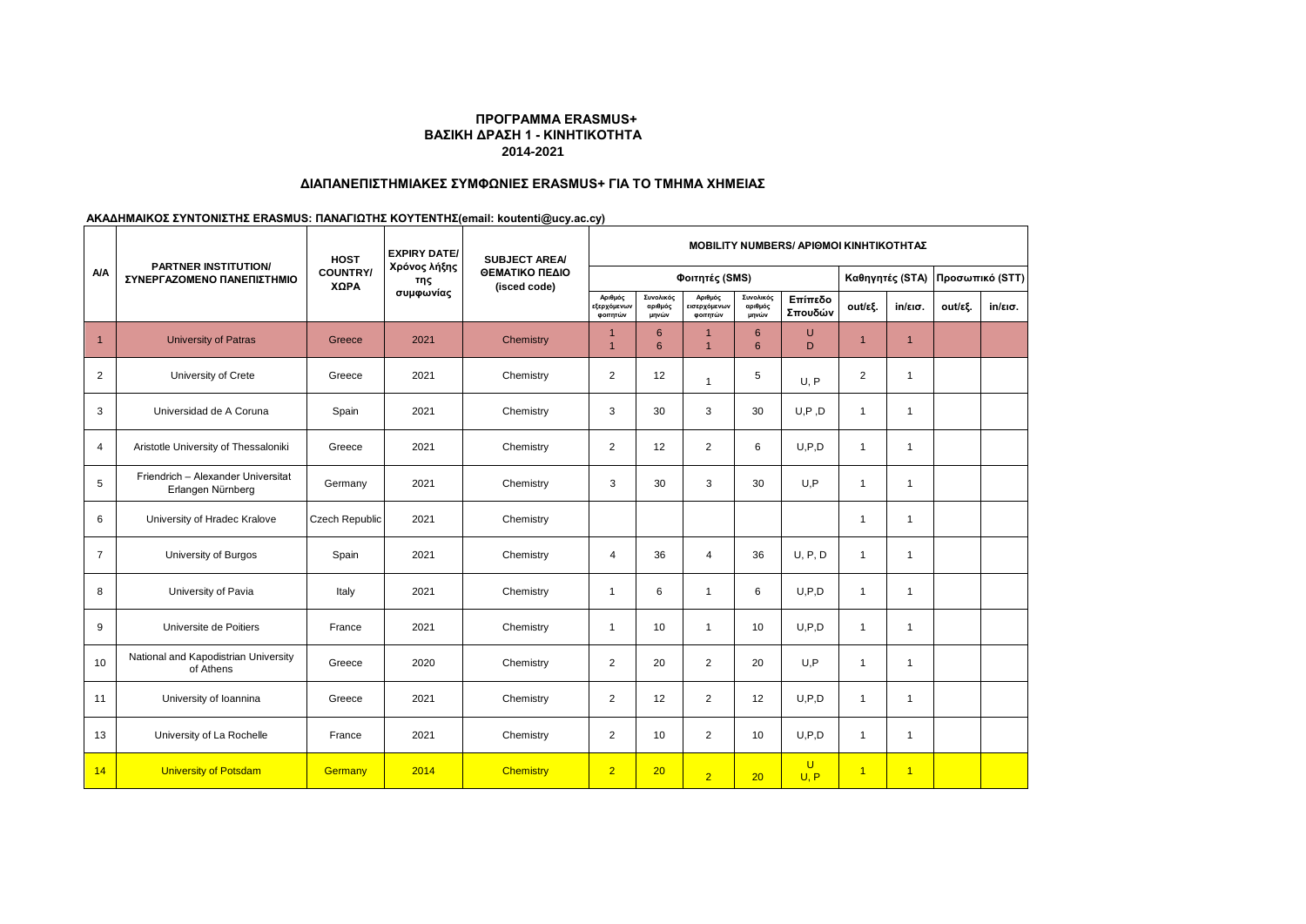## **ΠΡΟΓΡΑΜΜΑ ERASMUS+ ΒΑΣΙΚΗ ΔΡΑΣΗ 1 - ΚΙΝΗΤΙΚΟΤΗΤΑ 2014-2021**

## **ΔΙΑΠΑΝΕΠΙΣΤΗΜΙΑΚΕΣ ΣΥΜΦΩΝΙΕΣ ERASMUS+ ΓΙΑ ΤΟ ΤΜΗΜΑ ΧΗΜΕΙΑΣ**

**ΑΚΑΔΗΜΑΙΚΟΣ ΣΥΝΤΟΝΙΣΤΗΣ ERASMUS: ΠΑΝΑΓΙΩΤΗΣ ΚΟΥΤΕΝΤΗΣ(email: koutenti@ucy.ac.cy)**

|                | <b>PARTNER INSTITUTION/</b><br>ΣΥΝΕΡΓΑΖΟΜΕΝΟ ΠΑΝΕΠΙΣΤΗΜΙΟ | <b>HOST</b>             | <b>EXPIRY DATE/</b><br>Χρόνος λήξης<br>της<br>συμφωνίας | <b>SUBJECT AREA/</b><br>ΘΕΜΑΤΙΚΟ ΠΕΔΙΟ<br>(isced code) | <b>MOBILITY NUMBERS/ APIOMOI KINHTIKOTHTAZ</b>    |                               |                                     |                               |                        |                 |                   |                 |         |
|----------------|-----------------------------------------------------------|-------------------------|---------------------------------------------------------|--------------------------------------------------------|---------------------------------------------------|-------------------------------|-------------------------------------|-------------------------------|------------------------|-----------------|-------------------|-----------------|---------|
| <b>A/A</b>     |                                                           | <b>COUNTRY/</b><br>ΧΩΡΑ |                                                         |                                                        | Φοιτητές (SMS)                                    |                               |                                     |                               |                        | Καθηγητές (STA) |                   | Προσωπικό (STT) |         |
|                |                                                           |                         |                                                         |                                                        | Αριθμός<br>:ξερχόμε <mark>ν</mark> ων<br>φοιτητών | Συνολικός<br>αριθμός<br>μηνών | Αριθμός<br>εισερχόμενων<br>φοιτητών | Συνολικός<br>αριθμός<br>μηνών | Επίπεδο<br>Σπουδών     | out/εξ.         | $in/\epsilon$ ισ. | out/εξ.         | in/εισ. |
| $\overline{1}$ | <b>University of Patras</b>                               | Greece                  | 2021                                                    | Chemistry                                              | $\overline{1}$                                    | $6\phantom{1}6$<br>6          | и<br>$\overline{1}$                 | 6<br>6                        | U<br>D                 | $\overline{1}$  | $\mathbf{1}$      |                 |         |
| $\overline{2}$ | University of Crete                                       | Greece                  | 2021                                                    | Chemistry                                              | 2                                                 | 12                            | $\mathbf{1}$                        | 5                             | U. P                   | $\overline{2}$  | $\overline{1}$    |                 |         |
| 3              | Universidad de A Coruna                                   | Spain                   | 2021                                                    | Chemistry                                              | 3                                                 | 30                            | 3                                   | 30                            | U, P, D                | $\overline{1}$  | $\overline{1}$    |                 |         |
| 4              | Aristotle University of Thessaloniki                      | Greece                  | 2021                                                    | Chemistry                                              | 2                                                 | 12                            | $\overline{c}$                      | 6                             | U.P.D                  | $\overline{1}$  | $\mathbf{1}$      |                 |         |
| 5              | Friendrich - Alexander Universitat<br>Erlangen Nürnberg   | Germany                 | 2021                                                    | Chemistry                                              | 3                                                 | 30                            | 3                                   | 30                            | U, P                   | $\overline{1}$  | $\overline{1}$    |                 |         |
| 6              | University of Hradec Kralove                              | Czech Republic          | 2021                                                    | Chemistry                                              |                                                   |                               |                                     |                               |                        | $\overline{1}$  | $\overline{1}$    |                 |         |
| $\overline{7}$ | University of Burgos                                      | Spain                   | 2021                                                    | Chemistry                                              | $\overline{4}$                                    | 36                            | $\overline{4}$                      | 36                            | U, P, D                | $\overline{1}$  | $\mathbf{1}$      |                 |         |
| 8              | University of Pavia                                       | Italy                   | 2021                                                    | Chemistry                                              | $\mathbf{1}$                                      | 6                             | $\mathbf{1}$                        | 6                             | U.P.D                  | $\overline{1}$  | $\mathbf{1}$      |                 |         |
| 9              | Universite de Poitiers                                    | France                  | 2021                                                    | Chemistry                                              | $\mathbf{1}$                                      | 10                            | $\mathbf{1}$                        | 10                            | U.P.D                  | $\overline{1}$  | $\mathbf{1}$      |                 |         |
| 10             | National and Kapodistrian University<br>of Athens         | Greece                  | 2020                                                    | Chemistry                                              | 2                                                 | 20                            | $\overline{2}$                      | 20                            | U, P                   | $\overline{1}$  | $\overline{1}$    |                 |         |
| 11             | University of Ioannina                                    | Greece                  | 2021                                                    | Chemistry                                              | 2                                                 | 12                            | $\overline{2}$                      | 12                            | U.P.D                  | $\overline{1}$  | $\mathbf{1}$      |                 |         |
| 13             | University of La Rochelle                                 | France                  | 2021                                                    | Chemistry                                              | $\overline{2}$                                    | 10                            | $\overline{2}$                      | 10                            | U.P.D                  | $\overline{1}$  | $\mathbf{1}$      |                 |         |
| 14             | <b>University of Potsdam</b>                              | Germany                 | 2014                                                    | <b>Chemistry</b>                                       | $\overline{2}$                                    | 20                            | $\overline{2}$                      | 20                            | $\overline{U}$<br>U, P | $\vert$ 1       | $\overline{1}$    |                 |         |